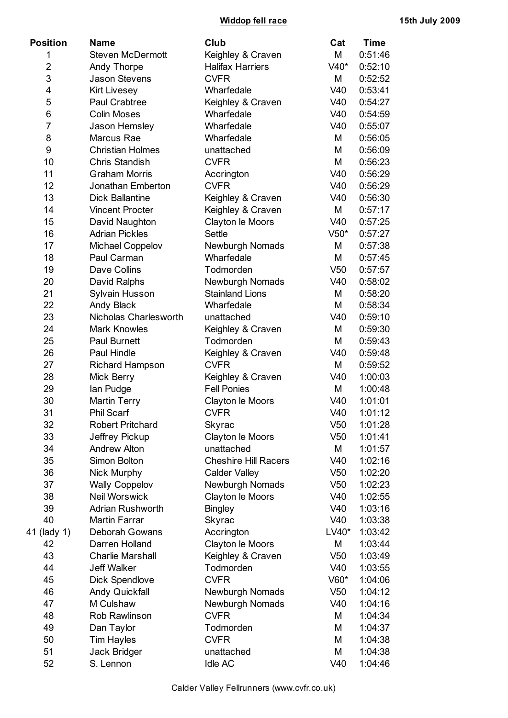**Widdop fell race 15th July 2009**

| <b>Position</b> | <b>Name</b>             | Club                        | Cat             | Time    |
|-----------------|-------------------------|-----------------------------|-----------------|---------|
| 1               | <b>Steven McDermott</b> | Keighley & Craven           | M               | 0:51:46 |
| $\overline{2}$  | Andy Thorpe             | <b>Halifax Harriers</b>     | V40*            | 0:52:10 |
| 3               | <b>Jason Stevens</b>    | <b>CVFR</b>                 | M               | 0:52:52 |
| 4               | <b>Kirt Livesey</b>     | Wharfedale                  | V40             | 0:53:41 |
| 5               | Paul Crabtree           | Keighley & Craven           | V40             | 0:54:27 |
| 6               | <b>Colin Moses</b>      | Wharfedale                  | V40             | 0:54:59 |
| 7               | Jason Hemsley           | Wharfedale                  | V40             | 0:55:07 |
| 8               | Marcus Rae              | Wharfedale                  | M               | 0:56:05 |
| 9               | <b>Christian Holmes</b> | unattached                  | M               | 0:56:09 |
| 10              | Chris Standish          | <b>CVFR</b>                 | M               | 0:56:23 |
| 11              | <b>Graham Morris</b>    | Accrington                  | V40             | 0:56:29 |
| 12              | Jonathan Emberton       | <b>CVFR</b>                 | V40             | 0:56:29 |
| 13              | <b>Dick Ballantine</b>  | Keighley & Craven           | V40             | 0:56:30 |
| 14              | <b>Vincent Procter</b>  | Keighley & Craven           | M               | 0:57:17 |
| 15              | David Naughton          | Clayton le Moors            | V40             | 0:57:25 |
| 16              | <b>Adrian Pickles</b>   | <b>Settle</b>               | $V50*$          | 0:57:27 |
| 17              | <b>Michael Coppelov</b> | <b>Newburgh Nomads</b>      | M               | 0:57:38 |
| 18              | Paul Carman             | Wharfedale                  | M               | 0:57:45 |
| 19              | Dave Collins            | Todmorden                   | V <sub>50</sub> | 0:57:57 |
| 20              | David Ralphs            | <b>Newburgh Nomads</b>      | V40             | 0:58:02 |
| 21              | Sylvain Husson          | <b>Stainland Lions</b>      | M               | 0:58:20 |
| 22              | Andy Black              | Wharfedale                  | M               | 0:58:34 |
| 23              | Nicholas Charlesworth   | unattached                  | V40             | 0:59:10 |
| 24              | <b>Mark Knowles</b>     | Keighley & Craven           | M               | 0:59:30 |
| 25              | <b>Paul Burnett</b>     | Todmorden                   | M               | 0:59:43 |
| 26              | Paul Hindle             | Keighley & Craven           | V40             | 0:59:48 |
| 27              | Richard Hampson         | <b>CVFR</b>                 | M               | 0:59:52 |
| 28              | Mick Berry              | Keighley & Craven           | V40             | 1:00:03 |
| 29              | lan Pudge               | <b>Fell Ponies</b>          | M               | 1:00:48 |
| 30              | <b>Martin Terry</b>     | Clayton le Moors            | V40             | 1:01:01 |
| 31              | <b>Phil Scarf</b>       | <b>CVFR</b>                 | V40             | 1:01:12 |
| 32              | <b>Robert Pritchard</b> | Skyrac                      | V <sub>50</sub> | 1:01:28 |
| 33              | Jeffrey Pickup          | Clayton le Moors            | V <sub>50</sub> | 1:01:41 |
| 34              | <b>Andrew Alton</b>     | unattached                  | M               | 1:01:57 |
| 35              | Simon Bolton            | <b>Cheshire Hill Racers</b> | V40             | 1:02:16 |
| 36              | Nick Murphy             | <b>Calder Valley</b>        | V <sub>50</sub> | 1:02:20 |
| 37              | <b>Wally Coppelov</b>   | Newburgh Nomads             | V <sub>50</sub> | 1:02:23 |
| 38              | <b>Neil Worswick</b>    | Clayton le Moors            | V40             | 1:02:55 |
| 39              | <b>Adrian Rushworth</b> | <b>Bingley</b>              | V40             | 1:03:16 |
| 40              | <b>Martin Farrar</b>    | Skyrac                      | V40             | 1:03:38 |
| (lady 1)<br>41  | Deborah Gowans          | Accrington                  | LV40*           | 1:03:42 |
| 42              | Darren Holland          | Clayton le Moors            | M               | 1:03:44 |
| 43              | <b>Charlie Marshall</b> | Keighley & Craven           | V <sub>50</sub> | 1:03:49 |
| 44              | <b>Jeff Walker</b>      | Todmorden                   | V40             | 1:03:55 |
| 45              | Dick Spendlove          | <b>CVFR</b>                 | V60*            | 1:04:06 |
| 46              | Andy Quickfall          | <b>Newburgh Nomads</b>      | V <sub>50</sub> | 1:04:12 |
| 47              | M Culshaw               | Newburgh Nomads             | V40             | 1:04:16 |
| 48              | Rob Rawlinson           | <b>CVFR</b>                 | M               | 1:04:34 |
| 49              | Dan Taylor              | Todmorden                   | M               | 1:04:37 |
| 50              | <b>Tim Hayles</b>       | <b>CVFR</b>                 | M               | 1:04:38 |
| 51              | Jack Bridger            | unattached                  | M               | 1:04:38 |
| 52              | S. Lennon               | <b>Idle AC</b>              | V40             | 1:04:46 |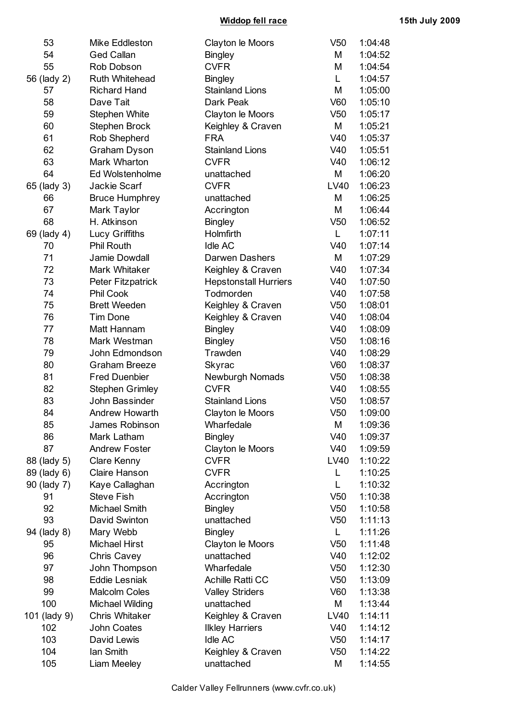**Widdop fell race 15th July 2009**

| 53           | Mike Eddleston         | Clayton le Moors             | V <sub>50</sub> | 1:04:48 |
|--------------|------------------------|------------------------------|-----------------|---------|
| 54           | <b>Ged Callan</b>      | <b>Bingley</b>               | M               | 1:04:52 |
| 55           | Rob Dobson             | <b>CVFR</b>                  | M               | 1:04:54 |
| 56 (lady 2)  | Ruth Whitehead         | <b>Bingley</b>               | L               | 1:04:57 |
| 57           | <b>Richard Hand</b>    | <b>Stainland Lions</b>       | M               | 1:05:00 |
| 58           | Dave Tait              | Dark Peak                    | V60             | 1:05:10 |
| 59           | <b>Stephen White</b>   | Clayton le Moors             | V <sub>50</sub> | 1:05:17 |
| 60           | Stephen Brock          | Keighley & Craven            | M               | 1:05:21 |
| 61           | Rob Shepherd           | <b>FRA</b>                   | V40             | 1:05:37 |
| 62           | Graham Dyson           | <b>Stainland Lions</b>       | V40             | 1:05:51 |
| 63           | Mark Wharton           | <b>CVFR</b>                  | V40             | 1:06:12 |
| 64           | Ed Wolstenholme        | unattached                   | M               | 1:06:20 |
| 65 (lady 3)  | Jackie Scarf           | <b>CVFR</b>                  | LV40            | 1:06:23 |
| 66           | <b>Bruce Humphrey</b>  | unattached                   | M               | 1:06:25 |
| 67           | Mark Taylor            | Accrington                   | M               | 1:06:44 |
| 68           | H. Atkinson            | <b>Bingley</b>               | V <sub>50</sub> | 1:06:52 |
| 69 (lady 4)  | Lucy Griffiths         | Holmfirth                    | L               | 1:07:11 |
| 70           | Phil Routh             | <b>Idle AC</b>               | V40             | 1:07:14 |
| 71           | Jamie Dowdall          | Darwen Dashers               | M               | 1:07:29 |
| 72           | Mark Whitaker          | Keighley & Craven            | V40             | 1:07:34 |
| 73           | Peter Fitzpatrick      | <b>Hepstonstall Hurriers</b> | V40             | 1:07:50 |
| 74           | Phil Cook              | Todmorden                    | V40             | 1:07:58 |
| 75           | <b>Brett Weeden</b>    | Keighley & Craven            | V <sub>50</sub> | 1:08:01 |
| 76           | <b>Tim Done</b>        | Keighley & Craven            | V40             | 1:08:04 |
| 77           | Matt Hannam            | <b>Bingley</b>               | V40             | 1:08:09 |
| 78           | Mark Westman           | <b>Bingley</b>               | V <sub>50</sub> | 1:08:16 |
| 79           | John Edmondson         | Trawden                      | V40             | 1:08:29 |
| 80           | Graham Breeze          | <b>Skyrac</b>                | V60             | 1:08:37 |
| 81           | <b>Fred Duenbier</b>   | Newburgh Nomads              | V <sub>50</sub> | 1:08:38 |
| 82           | <b>Stephen Grimley</b> | <b>CVFR</b>                  | V40             | 1:08:55 |
| 83           | John Bassinder         | <b>Stainland Lions</b>       | V <sub>50</sub> | 1:08:57 |
| 84           | Andrew Howarth         | Clayton le Moors             | V <sub>50</sub> | 1:09:00 |
| 85           | James Robinson         | Wharfedale                   | M               | 1:09:36 |
| 86           | Mark Latham            | <b>Bingley</b>               | V40             | 1:09:37 |
| 87           | <b>Andrew Foster</b>   | Clayton le Moors             | V40             | 1:09:59 |
| 88 (lady 5)  | <b>Clare Kenny</b>     | <b>CVFR</b>                  | LV40            | 1:10:22 |
| 89 (lady 6)  | Claire Hanson          | <b>CVFR</b>                  | L               | 1:10:25 |
| 90 (lady 7)  | Kaye Callaghan         | Accrington                   | L               | 1:10:32 |
| 91           | <b>Steve Fish</b>      | Accrington                   | V <sub>50</sub> | 1:10:38 |
| 92           | <b>Michael Smith</b>   | <b>Bingley</b>               | V <sub>50</sub> | 1:10:58 |
| 93           | David Swinton          | unattached                   | V <sub>50</sub> | 1:11:13 |
| 94 (lady 8)  | Mary Webb              | <b>Bingley</b>               | L.              | 1:11:26 |
| 95           | <b>Michael Hirst</b>   | Clayton le Moors             | V <sub>50</sub> | 1:11:48 |
| 96           | <b>Chris Cavey</b>     | unattached                   | V40             | 1:12:02 |
| 97           | John Thompson          | Wharfedale                   | V <sub>50</sub> | 1:12:30 |
| 98           | <b>Eddie Lesniak</b>   | Achille Ratti CC             | V <sub>50</sub> | 1:13:09 |
| 99           | <b>Malcolm Coles</b>   | <b>Valley Striders</b>       | V60             | 1:13:38 |
| 100          | Michael Wilding        | unattached                   | M               | 1:13:44 |
| 101 (lady 9) | <b>Chris Whitaker</b>  | Keighley & Craven            | LV40            | 1:14:11 |
| 102          | John Coates            | <b>Ilkley Harriers</b>       | V40             | 1:14:12 |
| 103          | David Lewis            | <b>Idle AC</b>               | V <sub>50</sub> | 1:14:17 |
| 104          | lan Smith              | Keighley & Craven            | V <sub>50</sub> | 1:14:22 |
| 105          | Liam Meeley            | unattached                   | M               | 1:14:55 |